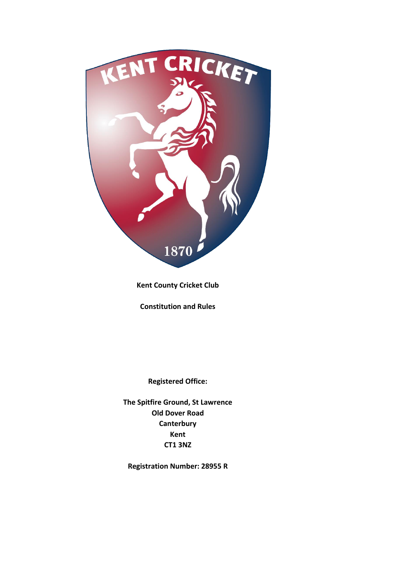

**Kent County Cricket Club**

**Constitution and Rules**

**Registered Office:**

**The Spitfire Ground, St Lawrence Old Dover Road Canterbury Kent CT1 3NZ**

**Registration Number: 28955 R**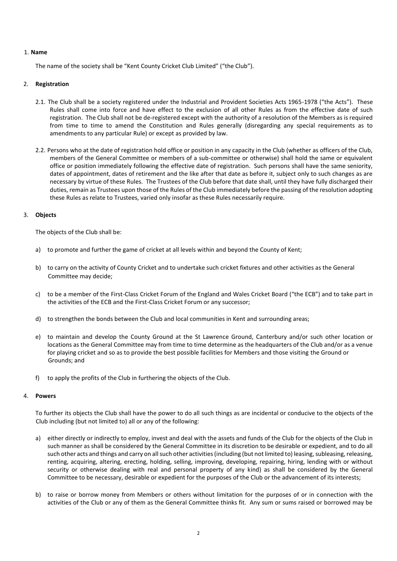# 1. **Name**

The name of the society shall be "Kent County Cricket Club Limited" ("the Club").

# 2. **Registration**

- 2.1. The Club shall be a society registered under the Industrial and Provident Societies Acts 1965-1978 ("the Acts"). These Rules shall come into force and have effect to the exclusion of all other Rules as from the effective date of such registration. The Club shall not be de-registered except with the authority of a resolution of the Members as is required from time to time to amend the Constitution and Rules generally (disregarding any special requirements as to amendments to any particular Rule) or except as provided by law.
- 2.2. Persons who at the date of registration hold office or position in any capacity in the Club (whether as officers of the Club, members of the General Committee or members of a sub-committee or otherwise) shall hold the same or equivalent office or position immediately following the effective date of registration. Such persons shall have the same seniority, dates of appointment, dates of retirement and the like after that date as before it, subject only to such changes as are necessary by virtue of these Rules. The Trustees of the Club before that date shall, until they have fully discharged their duties, remain as Trustees upon those of the Rules of the Club immediately before the passing of the resolution adopting these Rules as relate to Trustees, varied only insofar as these Rules necessarily require.

# 3. **Objects**

The objects of the Club shall be:

- a) to promote and further the game of cricket at all levels within and beyond the County of Kent;
- b) to carry on the activity of County Cricket and to undertake such cricket fixtures and other activities as the General Committee may decide;
- c) to be a member of the First-Class Cricket Forum of the England and Wales Cricket Board ("the ECB") and to take part in the activities of the ECB and the First-Class Cricket Forum or any successor;
- d) to strengthen the bonds between the Club and local communities in Kent and surrounding areas;
- e) to maintain and develop the County Ground at the St Lawrence Ground, Canterbury and/or such other location or locations as the General Committee may from time to time determine as the headquarters of the Club and/or as a venue for playing cricket and so as to provide the best possible facilities for Members and those visiting the Ground or Grounds; and
- f) to apply the profits of the Club in furthering the objects of the Club.

# 4. **Powers**

To further its objects the Club shall have the power to do all such things as are incidental or conducive to the objects of the Club including (but not limited to) all or any of the following:

- a) either directly or indirectly to employ, invest and deal with the assets and funds of the Club for the objects of the Club in such manner as shall be considered by the General Committee in its discretion to be desirable or expedient, and to do all such other acts and things and carry on all such other activities (including (but not limited to) leasing, subleasing, releasing, renting, acquiring, altering, erecting, holding, selling, improving, developing, repairing, hiring, lending with or without security or otherwise dealing with real and personal property of any kind) as shall be considered by the General Committee to be necessary, desirable or expedient for the purposes of the Club or the advancement of its interests;
- b) to raise or borrow money from Members or others without limitation for the purposes of or in connection with the activities of the Club or any of them as the General Committee thinks fit. Any sum or sums raised or borrowed may be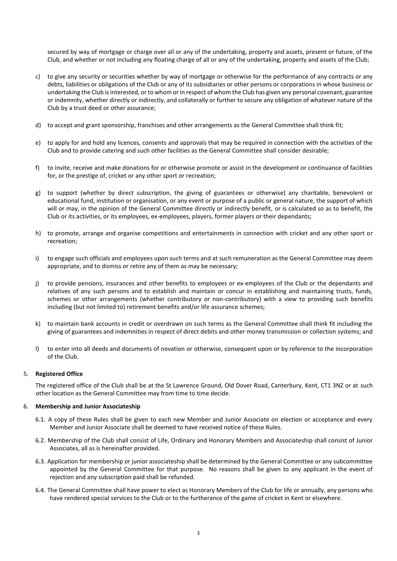secured by way of mortgage or charge over all or any of the undertaking, property and assets, present or future, of the Club, and whether or not including any floating charge of all or any of the undertaking, property and assets of the Club;

- c) to give any security or securities whether by way of mortgage or otherwise for the performance of any contracts or any debts, liabilities or obligations of the Club or any of its subsidiaries or other persons or corporations in whose business or undertaking the Club is interested, or to whom or in respect of whom the Club has given any personal covenant, guarantee or indemnity, whether directly or indirectly, and collaterally or further to secure any obligation of whatever nature of the Club by a trust deed or other assurance;
- d) to accept and grant sponsorship, franchises and other arrangements as the General Committee shall think fit;
- e) to apply for and hold any licences, consents and approvals that may be required in connection with the activities of the Club and to provide catering and such other facilities as the General Committee shall consider desirable;
- f) to invite, receive and make donations for or otherwise promote or assist in the development or continuance of facilities for, or the prestige of, cricket or any other sport or recreation;
- g) to support (whether by direct subscription, the giving of guarantees or otherwise) any charitable, benevolent or educational fund, institution or organisation, or any event or purpose of a public or general nature, the support of which will or may, in the opinion of the General Committee directly or indirectly benefit, or is calculated so as to benefit, the Club or its activities, or its employees, ex-employees, players, former players or their dependants;
- h) to promote, arrange and organise competitions and entertainments in connection with cricket and any other sport or recreation;
- i) to engage such officials and employees upon such terms and at such remuneration as the General Committee may deem appropriate, and to dismiss or retire any of them as may be necessary;
- j) to provide pensions, insurances and other benefits to employees or ex-employees of the Club or the dependants and relatives of any such persons and to establish and maintain or concur in establishing and maintaining trusts, funds, schemes or other arrangements (whether contributory or non-contributory) with a view to providing such benefits including (but not limited to) retirement benefits and/or life assurance schemes;
- k) to maintain bank accounts in credit or overdrawn on such terms as the General Committee shall think fit including the giving of guarantees and indemnities in respect of direct debits and other money transmission or collection systems; and
- l) to enter into all deeds and documents of novation or otherwise, consequent upon or by reference to the incorporation of the Club.

#### 5. **Registered Office**

The registered office of the Club shall be at the St Lawrence Ground, Old Dover Road, Canterbury, Kent, CT1 3NZ or at such other location as the General Committee may from time to time decide.

#### 6. **Membership and Junior Associateship**

- 6.1. A copy of these Rules shall be given to each new Member and Junior Associate on election or acceptance and every Member and Junior Associate shall be deemed to have received notice of these Rules.
- 6.2. Membership of the Club shall consist of Life, Ordinary and Honorary Members and Associateship shall consist of Junior Associates, all as is hereinafter provided.
- 6.3. Application for membership or junior associateship shall be determined by the General Committee or any subcommittee appointed by the General Committee for that purpose. No reasons shall be given to any applicant in the event of rejection and any subscription paid shall be refunded.
- 6.4. The General Committee shall have power to elect as Honorary Members of the Club for life or annually, any persons who have rendered special services to the Club or to the furtherance of the game of cricket in Kent or elsewhere.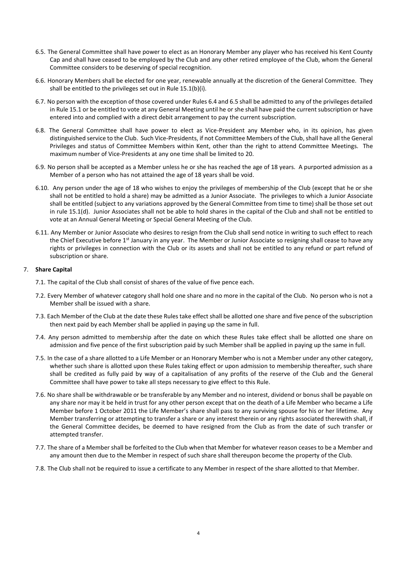- 6.5. The General Committee shall have power to elect as an Honorary Member any player who has received his Kent County Cap and shall have ceased to be employed by the Club and any other retired employee of the Club, whom the General Committee considers to be deserving of special recognition.
- 6.6. Honorary Members shall be elected for one year, renewable annually at the discretion of the General Committee. They shall be entitled to the privileges set out in Rule 15.1(b)(i).
- 6.7. No person with the exception of those covered under Rules 6.4 and 6.5 shall be admitted to any of the privileges detailed in Rule 15.1 or be entitled to vote at any General Meeting until he or she shall have paid the current subscription or have entered into and complied with a direct debit arrangement to pay the current subscription.
- 6.8. The General Committee shall have power to elect as Vice-President any Member who, in its opinion, has given distinguished service to the Club. Such Vice-Presidents, if not Committee Members of the Club, shall have all the General Privileges and status of Committee Members within Kent, other than the right to attend Committee Meetings. The maximum number of Vice-Presidents at any one time shall be limited to 20.
- 6.9. No person shall be accepted as a Member unless he or she has reached the age of 18 years. A purported admission as a Member of a person who has not attained the age of 18 years shall be void.
- 6.10. Any person under the age of 18 who wishes to enjoy the privileges of membership of the Club (except that he or she shall not be entitled to hold a share) may be admitted as a Junior Associate. The privileges to which a Junior Associate shall be entitled (subject to any variations approved by the General Committee from time to time) shall be those set out in rule 15.1(d). Junior Associates shall not be able to hold shares in the capital of the Club and shall not be entitled to vote at an Annual General Meeting or Special General Meeting of the Club.
- 6.11. Any Member or Junior Associate who desires to resign from the Club shall send notice in writing to such effect to reach the Chief Executive before 1<sup>st</sup> January in any year. The Member or Junior Associate so resigning shall cease to have any rights or privileges in connection with the Club or its assets and shall not be entitled to any refund or part refund of subscription or share.

# 7. **Share Capital**

- 7.1. The capital of the Club shall consist of shares of the value of five pence each.
- 7.2. Every Member of whatever category shall hold one share and no more in the capital of the Club. No person who is not a Member shall be issued with a share.
- 7.3. Each Member of the Club at the date these Rules take effect shall be allotted one share and five pence of the subscription then next paid by each Member shall be applied in paying up the same in full.
- 7.4. Any person admitted to membership after the date on which these Rules take effect shall be allotted one share on admission and five pence of the first subscription paid by such Member shall be applied in paying up the same in full.
- 7.5. In the case of a share allotted to a Life Member or an Honorary Member who is not a Member under any other category, whether such share is allotted upon these Rules taking effect or upon admission to membership thereafter, such share shall be credited as fully paid by way of a capitalisation of any profits of the reserve of the Club and the General Committee shall have power to take all steps necessary to give effect to this Rule.
- 7.6. No share shall be withdrawable or be transferable by any Member and no interest, dividend or bonus shall be payable on any share nor may it be held in trust for any other person except that on the death of a Life Member who became a Life Member before 1 October 2011 the Life Member's share shall pass to any surviving spouse for his or her lifetime. Any Member transferring or attempting to transfer a share or any interest therein or any rights associated therewith shall, if the General Committee decides, be deemed to have resigned from the Club as from the date of such transfer or attempted transfer.
- 7.7. The share of a Member shall be forfeited to the Club when that Member for whatever reason ceases to be a Member and any amount then due to the Member in respect of such share shall thereupon become the property of the Club.
- 7.8. The Club shall not be required to issue a certificate to any Member in respect of the share allotted to that Member.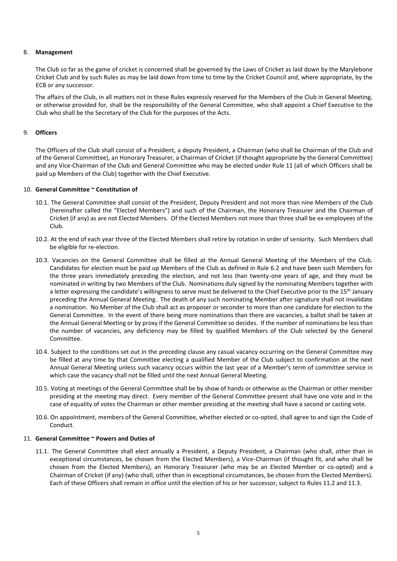# 8. **Management**

The Club so far as the game of cricket is concerned shall be governed by the Laws of Cricket as laid down by the Marylebone Cricket Club and by such Rules as may be laid down from time to time by the Cricket Council and, where appropriate, by the ECB or any successor.

The affairs of the Club, in all matters not in these Rules expressly reserved for the Members of the Club in General Meeting, or otherwise provided for, shall be the responsibility of the General Committee, who shall appoint a Chief Executive to the Club who shall be the Secretary of the Club for the purposes of the Acts.

# 9. **Officers**

The Officers of the Club shall consist of a President, a deputy President, a Chairman (who shall be Chairman of the Club and of the General Committee), an Honorary Treasurer, a Chairman of Cricket (if thought appropriate by the General Committee) and any Vice-Chairman of the Club and General Committee who may be elected under Rule 11 (all of which Officers shall be paid up Members of the Club) together with the Chief Executive.

## 10. **General Committee ~ Constitution of**

- 10.1. The General Committee shall consist of the President, Deputy President and not more than nine Members of the Club (hereinafter called the "Elected Members") and such of the Chairman, the Honorary Treasurer and the Chairman of Cricket (if any) as are not Elected Members. Of the Elected Members not more than three shall be ex-employees of the Club.
- 10.2. At the end of each year three of the Elected Members shall retire by rotation in order of seniority. Such Members shall be eligible for re-election.
- 10.3. Vacancies on the General Committee shall be filled at the Annual General Meeting of the Members of the Club. Candidates for election must be paid up Members of the Club as defined in Rule 6.2 and have been such Members for the three years immediately preceding the election, and not less than twenty-one years of age, and they must be nominated in writing by two Members of the Club. Nominations duly signed by the nominating Members together with a letter expressing the candidate's willingness to serve must be delivered to the Chief Executive prior to the 15<sup>th</sup> January preceding the Annual General Meeting. The death of any such nominating Member after signature shall not invalidate a nomination. No Member of the Club shall act as proposer or seconder to more than one candidate for election to the General Committee. In the event of there being more nominations than there are vacancies, a ballot shall be taken at the Annual General Meeting or by proxy if the General Committee so decides. If the number of nominations be less than the number of vacancies, any deficiency may be filled by qualified Members of the Club selected by the General Committee.
- 10.4. Subject to the conditions set out in the preceding clause any casual vacancy occurring on the General Committee may be filled at any time by that Committee electing a qualified Member of the Club subject to confirmation at the next Annual General Meeting unless such vacancy occurs within the last year of a Member's term of committee service in which case the vacancy shall not be filled until the next Annual General Meeting.
- 10.5. Voting at meetings of the General Committee shall be by show of hands or otherwise as the Chairman or other member presiding at the meeting may direct. Every member of the General Committee present shall have one vote and in the case of equality of votes the Chairman or other member presiding at the meeting shall have a second or casting vote.
- 10.6. On appointment, members of the General Committee, whether elected or co-opted, shall agree to and sign the Code of Conduct.

#### 11. **General Committee ~ Powers and Duties of**

11.1. The General Committee shall elect annually a President, a Deputy President, a Chairman (who shall, other than in exceptional circumstances, be chosen from the Elected Members), a Vice-Chairman (if thought fit, and who shall be chosen from the Elected Members), an Honorary Treasurer (who may be an Elected Member or co-opted) and a Chairman of Cricket (if any) (who shall, other than in exceptional circumstances, be chosen from the Elected Members). Each of these Officers shall remain in office until the election of his or her successor, subject to Rules 11.2 and 11.3.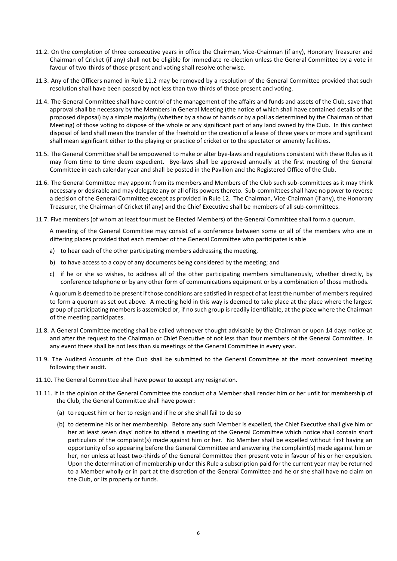- 11.2. On the completion of three consecutive years in office the Chairman, Vice-Chairman (if any), Honorary Treasurer and Chairman of Cricket (if any) shall not be eligible for immediate re-election unless the General Committee by a vote in favour of two-thirds of those present and voting shall resolve otherwise.
- 11.3. Any of the Officers named in Rule 11.2 may be removed by a resolution of the General Committee provided that such resolution shall have been passed by not less than two-thirds of those present and voting.
- 11.4. The General Committee shall have control of the management of the affairs and funds and assets of the Club, save that approval shall be necessary by the Members in General Meeting (the notice of which shall have contained details of the proposed disposal) by a simple majority (whether by a show of hands or by a poll as determined by the Chairman of that Meeting) of those voting to dispose of the whole or any significant part of any land owned by the Club. In this context disposal of land shall mean the transfer of the freehold or the creation of a lease of three years or more and significant shall mean significant either to the playing or practice of cricket or to the spectator or amenity facilities.
- 11.5. The General Committee shall be empowered to make or alter bye-laws and regulations consistent with these Rules as it may from time to time deem expedient. Bye-laws shall be approved annually at the first meeting of the General Committee in each calendar year and shall be posted in the Pavilion and the Registered Office of the Club.
- 11.6. The General Committee may appoint from its members and Members of the Club such sub-committees as it may think necessary or desirable and may delegate any or all of its powers thereto. Sub-committees shall have no power to reverse a decision of the General Committee except as provided in Rule 12. The Chairman, Vice-Chairman (if any), the Honorary Treasurer, the Chairman of Cricket (if any) and the Chief Executive shall be members of all sub-committees.
- 11.7. Five members (of whom at least four must be Elected Members) of the General Committee shall form a quorum.

A meeting of the General Committee may consist of a conference between some or all of the members who are in differing places provided that each member of the General Committee who participates is able

- a) to hear each of the other participating members addressing the meeting,
- b) to have access to a copy of any documents being considered by the meeting; and
- c) if he or she so wishes, to address all of the other participating members simultaneously, whether directly, by conference telephone or by any other form of communications equipment or by a combination of those methods.

A quorum is deemed to be present if those conditions are satisfied in respect of at least the number of members required to form a quorum as set out above. A meeting held in this way is deemed to take place at the place where the largest group of participating members is assembled or, if no such group is readily identifiable, at the place where the Chairman of the meeting participates.

- 11.8. A General Committee meeting shall be called whenever thought advisable by the Chairman or upon 14 days notice at and after the request to the Chairman or Chief Executive of not less than four members of the General Committee. In any event there shall be not less than six meetings of the General Committee in every year.
- 11.9. The Audited Accounts of the Club shall be submitted to the General Committee at the most convenient meeting following their audit.
- 11.10. The General Committee shall have power to accept any resignation.
- 11.11. If in the opinion of the General Committee the conduct of a Member shall render him or her unfit for membership of the Club, the General Committee shall have power:
	- (a) to request him or her to resign and if he or she shall fail to do so
	- (b) to determine his or her membership. Before any such Member is expelled, the Chief Executive shall give him or her at least seven days' notice to attend a meeting of the General Committee which notice shall contain short particulars of the complaint(s) made against him or her. No Member shall be expelled without first having an opportunity of so appearing before the General Committee and answering the complaint(s) made against him or her, nor unless at least two-thirds of the General Committee then present vote in favour of his or her expulsion. Upon the determination of membership under this Rule a subscription paid for the current year may be returned to a Member wholly or in part at the discretion of the General Committee and he or she shall have no claim on the Club, or its property or funds.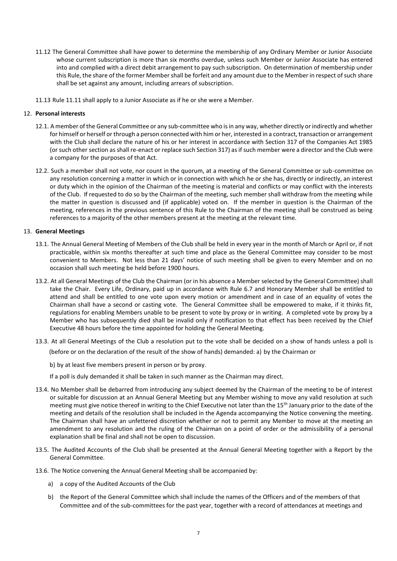- 11.12 The General Committee shall have power to determine the membership of any Ordinary Member or Junior Associate whose current subscription is more than six months overdue, unless such Member or Junior Associate has entered into and complied with a direct debit arrangement to pay such subscription. On determination of membership under this Rule, the share of the former Member shall be forfeit and any amount due to the Member in respect of such share shall be set against any amount, including arrears of subscription.
- 11.13 Rule 11.11 shall apply to a Junior Associate as if he or she were a Member.

# 12. **Personal interests**

- 12.1. A member of the General Committee or any sub-committee who is in any way, whether directly or indirectly and whether for himself or herself or through a person connected with him or her, interested in a contract, transaction or arrangement with the Club shall declare the nature of his or her interest in accordance with Section 317 of the Companies Act 1985 (or such other section as shall re-enact or replace such Section 317) as if such member were a director and the Club were a company for the purposes of that Act.
- 12.2. Such a member shall not vote, nor count in the quorum, at a meeting of the General Committee or sub-committee on any resolution concerning a matter in which or in connection with which he or she has, directly or indirectly, an interest or duty which in the opinion of the Chairman of the meeting is material and conflicts or may conflict with the interests of the Club. If requested to do so by the Chairman of the meeting, such member shall withdraw from the meeting while the matter in question is discussed and (if applicable) voted on. If the member in question is the Chairman of the meeting, references in the previous sentence of this Rule to the Chairman of the meeting shall be construed as being references to a majority of the other members present at the meeting at the relevant time.

## 13. **General Meetings**

- 13.1. The Annual General Meeting of Members of the Club shall be held in every year in the month of March or April or, if not practicable, within six months thereafter at such time and place as the General Committee may consider to be most convenient to Members. Not less than 21 days' notice of such meeting shall be given to every Member and on no occasion shall such meeting be held before 1900 hours.
- 13.2. At all General Meetings of the Club the Chairman (or in his absence a Member selected by the General Committee) shall take the Chair. Every Life, Ordinary, paid up in accordance with Rule 6.7 and Honorary Member shall be entitled to attend and shall be entitled to one vote upon every motion or amendment and in case of an equality of votes the Chairman shall have a second or casting vote. The General Committee shall be empowered to make, if it thinks fit, regulations for enabling Members unable to be present to vote by proxy or in writing. A completed vote by proxy by a Member who has subsequently died shall be invalid only if notification to that effect has been received by the Chief Executive 48 hours before the time appointed for holding the General Meeting.
- 13.3. At all General Meetings of the Club a resolution put to the vote shall be decided on a show of hands unless a poll is (before or on the declaration of the result of the show of hands) demanded: a) by the Chairman or
	- b) by at least five members present in person or by proxy.
	- If a poll is duly demanded it shall be taken in such manner as the Chairman may direct.
- 13.4. No Member shall be debarred from introducing any subject deemed by the Chairman of the meeting to be of interest or suitable for discussion at an Annual General Meeting but any Member wishing to move any valid resolution at such meeting must give notice thereof in writing to the Chief Executive not later than the 15<sup>th</sup> January prior to the date of the meeting and details of the resolution shall be included in the Agenda accompanying the Notice convening the meeting. The Chairman shall have an unfettered discretion whether or not to permit any Member to move at the meeting an amendment to any resolution and the ruling of the Chairman on a point of order or the admissibility of a personal explanation shall be final and shall not be open to discussion.
- 13.5. The Audited Accounts of the Club shall be presented at the Annual General Meeting together with a Report by the General Committee.
- 13.6. The Notice convening the Annual General Meeting shall be accompanied by:
	- a) a copy of the Audited Accounts of the Club
	- b) the Report of the General Committee which shall include the names of the Officers and of the members of that Committee and of the sub-committees for the past year, together with a record of attendances at meetings and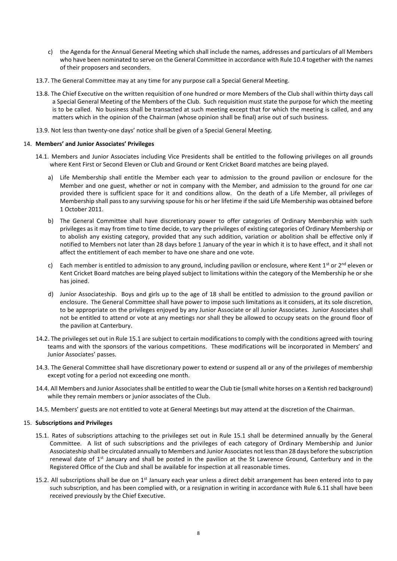- c) the Agenda for the Annual General Meeting which shall include the names, addresses and particulars of all Members who have been nominated to serve on the General Committee in accordance with Rule 10.4 together with the names of their proposers and seconders.
- 13.7. The General Committee may at any time for any purpose call a Special General Meeting.
- 13.8. The Chief Executive on the written requisition of one hundred or more Members of the Club shall within thirty days call a Special General Meeting of the Members of the Club. Such requisition must state the purpose for which the meeting is to be called. No business shall be transacted at such meeting except that for which the meeting is called, and any matters which in the opinion of the Chairman (whose opinion shall be final) arise out of such business.
- 13.9. Not less than twenty-one days' notice shall be given of a Special General Meeting.

## 14. **Members' and Junior Associates' Privileges**

- 14.1. Members and Junior Associates including Vice Presidents shall be entitled to the following privileges on all grounds where Kent First or Second Eleven or Club and Ground or Kent Cricket Board matches are being played.
	- a) Life Membership shall entitle the Member each year to admission to the ground pavilion or enclosure for the Member and one guest, whether or not in company with the Member, and admission to the ground for one car provided there is sufficient space for it and conditions allow. On the death of a Life Member, all privileges of Membership shall pass to any surviving spouse for his or her lifetime if the said Life Membership was obtained before 1 October 2011.
	- b) The General Committee shall have discretionary power to offer categories of Ordinary Membership with such privileges as it may from time to time decide, to vary the privileges of existing categories of Ordinary Membership or to abolish any existing category, provided that any such addition, variation or abolition shall be effective only if notified to Members not later than 28 days before 1 January of the year in which it is to have effect, and it shall not affect the entitlement of each member to have one share and one vote.
	- c) Each member is entitled to admission to any ground, including pavilion or enclosure, where Kent 1<sup>st</sup> or 2<sup>nd</sup> eleven or Kent Cricket Board matches are being played subject to limitations within the category of the Membership he or she has joined.
	- d) Junior Associateship. Boys and girls up to the age of 18 shall be entitled to admission to the ground pavilion or enclosure. The General Committee shall have power to impose such limitations as it considers, at its sole discretion, to be appropriate on the privileges enjoyed by any Junior Associate or all Junior Associates. Junior Associates shall not be entitled to attend or vote at any meetings nor shall they be allowed to occupy seats on the ground floor of the pavilion at Canterbury.
- 14.2. The privileges set out in Rule 15.1 are subject to certain modifications to comply with the conditions agreed with touring teams and with the sponsors of the various competitions. These modifications will be incorporated in Members' and Junior Associates' passes.
- 14.3. The General Committee shall have discretionary power to extend or suspend all or any of the privileges of membership except voting for a period not exceeding one month.
- 14.4. All Members and Junior Associates shall be entitled to wear the Club tie (small white horses on a Kentish red background) while they remain members or junior associates of the Club.
- 14.5. Members' guests are not entitled to vote at General Meetings but may attend at the discretion of the Chairman.

#### 15. **Subscriptions and Privileges**

- 15.1. Rates of subscriptions attaching to the privileges set out in Rule 15.1 shall be determined annually by the General Committee. A list of such subscriptions and the privileges of each category of Ordinary Membership and Junior Associateship shall be circulated annually to Members and Junior Associates not less than 28 days before the subscription renewal date of  $1<sup>st</sup>$  January and shall be posted in the pavilion at the St Lawrence Ground, Canterbury and in the Registered Office of the Club and shall be available for inspection at all reasonable times.
- 15.2. All subscriptions shall be due on  $1<sup>st</sup>$  January each year unless a direct debit arrangement has been entered into to pay such subscription, and has been complied with, or a resignation in writing in accordance with Rule 6.11 shall have been received previously by the Chief Executive.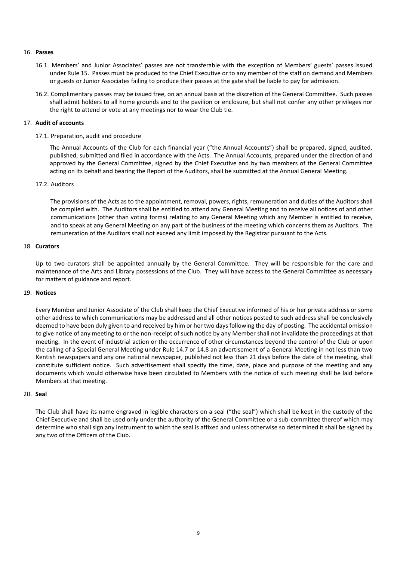## 16. **Passes**

- 16.1. Members' and Junior Associates' passes are not transferable with the exception of Members' guests' passes issued under Rule 15. Passes must be produced to the Chief Executive or to any member of the staff on demand and Members or guests or Junior Associates failing to produce their passes at the gate shall be liable to pay for admission.
- 16.2. Complimentary passes may be issued free, on an annual basis at the discretion of the General Committee. Such passes shall admit holders to all home grounds and to the pavilion or enclosure, but shall not confer any other privileges nor the right to attend or vote at any meetings nor to wear the Club tie.

## 17. **Audit of accounts**

## 17.1. Preparation, audit and procedure

The Annual Accounts of the Club for each financial year ("the Annual Accounts") shall be prepared, signed, audited, published, submitted and filed in accordance with the Acts. The Annual Accounts, prepared under the direction of and approved by the General Committee, signed by the Chief Executive and by two members of the General Committee acting on its behalf and bearing the Report of the Auditors, shall be submitted at the Annual General Meeting.

## 17.2. Auditors

The provisions of the Acts as to the appointment, removal, powers, rights, remuneration and duties of the Auditors shall be complied with. The Auditors shall be entitled to attend any General Meeting and to receive all notices of and other communications (other than voting forms) relating to any General Meeting which any Member is entitled to receive, and to speak at any General Meeting on any part of the business of the meeting which concerns them as Auditors. The remuneration of the Auditors shall not exceed any limit imposed by the Registrar pursuant to the Acts.

## 18. **Curators**

Up to two curators shall be appointed annually by the General Committee. They will be responsible for the care and maintenance of the Arts and Library possessions of the Club. They will have access to the General Committee as necessary for matters of guidance and report.

#### 19. **Notices**

Every Member and Junior Associate of the Club shall keep the Chief Executive informed of his or her private address or some other address to which communications may be addressed and all other notices posted to such address shall be conclusively deemed to have been duly given to and received by him or her two days following the day of posting. The accidental omission to give notice of any meeting to or the non-receipt of such notice by any Member shall not invalidate the proceedings at that meeting. In the event of industrial action or the occurrence of other circumstances beyond the control of the Club or upon the calling of a Special General Meeting under Rule 14.7 or 14.8 an advertisement of a General Meeting in not less than two Kentish newspapers and any one national newspaper, published not less than 21 days before the date of the meeting, shall constitute sufficient notice. Such advertisement shall specify the time, date, place and purpose of the meeting and any documents which would otherwise have been circulated to Members with the notice of such meeting shall be laid before Members at that meeting.

#### 20. **Seal**

The Club shall have its name engraved in legible characters on a seal ("the seal") which shall be kept in the custody of the Chief Executive and shall be used only under the authority of the General Committee or a sub-committee thereof which may determine who shall sign any instrument to which the seal is affixed and unless otherwise so determined it shall be signed by any two of the Officers of the Club.